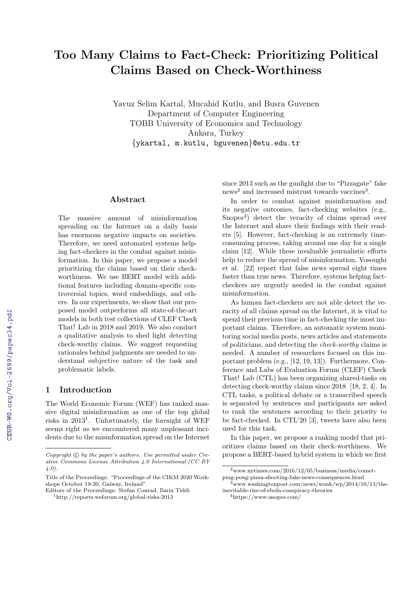# Too Many Claims to Fact-Check: Prioritizing Political Claims Based on Check-Worthiness

Yavuz Selim Kartal, Mucahid Kutlu, and Busra Guvenen Department of Computer Engineering TOBB University of Economics and Technology Ankara, Turkey {ykartal, m.kutlu, bguvenen}@etu.edu.tr

#### Abstract

The massive amount of misinformation spreading on the Internet on a daily basis has enormous negative impacts on societies. Therefore, we need automated systems helping fact-checkers in the combat against misinformation. In this paper, we propose a model prioritizing the claims based on their checkworthiness. We use BERT model with additional features including domain-specific controversial topics, word embeddings, and others. In our experiments, we show that our proposed model outperforms all state-of-the-art models in both test collections of CLEF Check That! Lab in 2018 and 2019. We also conduct a qualitative analysis to shed light detecting check-worthy claims. We suggest requesting rationales behind judgments are needed to understand subjective nature of the task and problematic labels.

#### 1 Introduction

The World Economic Forum (WEF) has ranked massive digital misinformation as one of the top global risks in  $2013<sup>1</sup>$ . Unfortunately, the foresight of WEF seems right as we encountered many unpleasant incidents due to the misinformation spread on the Internet since 2013 such as the gunfight due to "Pizzagate" fake news<sup>2</sup> and increased mistrust towards vaccines<sup>3</sup>.

In order to combat against misinformation and its negative outcomes, fact-checking websites (e.g., Snopes<sup>4</sup>) detect the veracity of claims spread over the Internet and share their findings with their readers [5]. However, fact-checking is an extremely timeconsuming process, taking around one day for a single claim [12]. While these invaluable journalistic efforts help to reduce the spread of misinformation, Vosoughi et al. [22] report that false news spread eight times faster than true news. Therefore, systems helping factcheckers are urgently needed in the combat against misinformation.

As human fact-checkers are not able detect the veracity of all claims spread on the Internet, it is vital to spend their precious time in fact-checking the most important claims. Therefore, an automatic system monitoring social media posts, news articles and statements of politicians, and detecting the check-worthy claims is needed. A number of researchers focused on this important problem (e.g., [12, 19, 13]). Furthermore, Conference and Labs of Evaluation Forum (CLEF) Check That! Lab (CTL) has been organizing shared-tasks on detecting check-worthy claims since 2018 [18, 2, 4]. In CTL tasks, a political debate or a transcribed speech is separated by sentences and participants are asked to rank the sentences according to their priority to be fact-checked. In CTL'20 [3], tweets have also been used for this task.

In this paper, we propose a ranking model that prioritizes claims based on their check-worthiness. We propose a BERT-based hybrid system in which we first

Copyright  $\odot$  by the paper's authors. Use permitted under Creative Commons License Attribution 4.0 International (CC BY 4.0).

Title of the Proceedings: "Proceedings of the CIKM 2020 Workshops October 19-20, Galway, Ireland"

Editors of the Proceedings: Stefan Conrad, Ilaria Tiddi

<sup>1</sup>http://reports.weforum.org/global-risks-2013

 $2$ www.nytimes.com/2016/12/05/business/media/cometping-pong-pizza-shooting-fake-news-consequences.html

<sup>3</sup>www.washingtonpost.com/news/wonk/wp/2014/10/13/theinevitable-rise-of-ebola-conspiracy-theories

<sup>4</sup>https://www.snopes.com/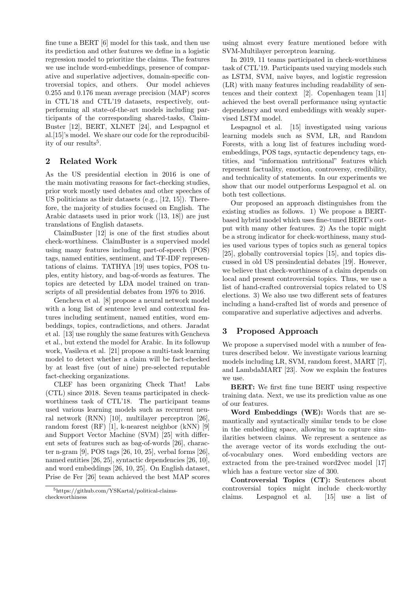fine tune a BERT [6] model for this task, and then use its prediction and other features we define in a logistic regression model to prioritize the claims. The features we use include word-embeddings, presence of comparative and superlative adjectives, domain-specific controversial topics, and others. Our model achieves 0.255 and 0.176 mean average precision (MAP) scores in CTL'18 and CTL'19 datasets, respectively, outperforming all state-of-the-art models including participants of the corresponding shared-tasks, Claim-Buster [12], BERT, XLNET [24], and Lespagnol et al.[15]'s model. We share our code for the reproducibility of our results<sup>5</sup>.

## 2 Related Work

As the US presidential election in 2016 is one of the main motivating reasons for fact-checking studies, prior work mostly used debates and other speeches of US politicians as their datasets (e.g., [12, 15]). Therefore, the majority of studies focused on English. The Arabic datasets used in prior work ([13, 18]) are just translations of English datasets.

ClaimBuster [12] is one of the first studies about check-worthiness. ClaimBuster is a supervised model using many features including part-of-speech (POS) tags, named entities, sentiment, and TF-IDF representations of claims. TATHYA [19] uses topics, POS tuples, entity history, and bag-of-words as features. The topics are detected by LDA model trained on transcripts of all presidential debates from 1976 to 2016.

Gencheva et al. [8] propose a neural network model with a long list of sentence level and contextual features including sentiment, named entities, word embeddings, topics, contradictions, and others. Jaradat et al. [13] use roughly the same features with Gencheva et al., but extend the model for Arabic. In its followup work, Vasileva et al. [21] propose a multi-task learning model to detect whether a claim will be fact-checked by at least five (out of nine) pre-selected reputable fact-checking organizations.

CLEF has been organizing Check That! Labs (CTL) since 2018. Seven teams participated in checkworthiness task of CTL'18. The participant teams used various learning models such as recurrent neural network (RNN) [10], multilayer perceptron [26], random forest (RF) [1], k-nearest neighbor (kNN) [9] and Support Vector Machine (SVM) [25] with different sets of features such as bag-of-words [26], character n-gram [9], POS tags [26, 10, 25], verbal forms [26], named entities [26, 25], syntactic dependencies [26, 10], and word embeddings [26, 10, 25]. On English dataset, Prise de Fer [26] team achieved the best MAP scores

using almost every feature mentioned before with SVM-Multilayer perceptron learning.

In 2019, 11 teams participated in check-worthiness task of CTL'19. Participants used varying models such as LSTM, SVM, naive bayes, and logistic regression (LR) with many features including readability of sentences and their context [2]. Copenhagen team [11] achieved the best overall performance using syntactic dependency and word embeddings with weakly supervised LSTM model.

Lespagnol et al. [15] investigated using various learning models such as SVM, LR, and Random Forests, with a long list of features including wordembeddings, POS tags, syntactic dependency tags, entities, and "information nutritional" features which represent factuality, emotion, controversy, credibility, and technicality of statements. In our experiments we show that our model outperforms Lespagnol et al. on both test collections.

Our proposed an approach distinguishes from the existing studies as follows. 1) We propose a BERTbased hybrid model which uses fine-tuned BERT's output with many other features. 2) As the topic might be a strong indicator for check-worthiness, many studies used various types of topics such as general topics [25], globally controversial topics [15], and topics discussed in old US presindential debates [19]. However, we believe that check-worthiness of a claim depends on local and present controversial topics. Thus, we use a list of hand-crafted controversial topics related to US elections. 3) We also use two different sets of features including a hand-crafted list of words and presence of comparative and superlative adjectives and adverbs.

# 3 Proposed Approach

We propose a supervised model with a number of features described below. We investigate various learning models including LR, SVM, random forest, MART [7], and LambdaMART [23]. Now we explain the features we use.

BERT: We first fine tune BERT using respective training data. Next, we use its prediction value as one of our features.

Word Embeddings (WE): Words that are semantically and syntactically similar tends to be close in the embedding space, allowing us to capture similarities between claims. We represent a sentence as the average vector of its words excluding the outof-vocabulary ones. Word embedding vectors are extracted from the pre-trained word2vec model [17] which has a feature vector size of 300.

Controversial Topics (CT): Sentences about controversial topics might include check-worthy claims. Lespagnol et al. [15] use a list of

<sup>5</sup>https://github.com/YSKartal/political-claimscheckworthiness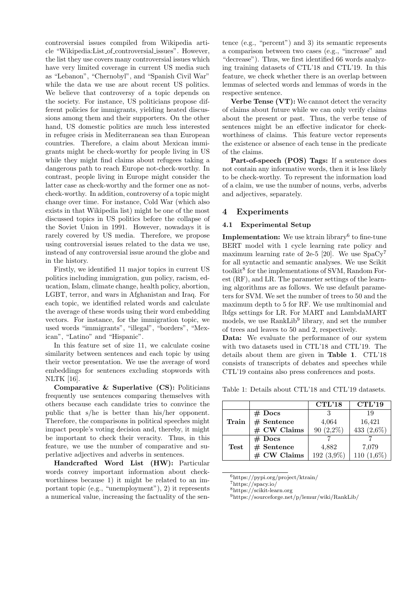controversial issues compiled from Wikipedia article "Wikipedia:List of controversial issues". However, the list they use covers many controversial issues which have very limited coverage in current US media such as "Lebanon", "Chernobyl", and "Spanish Civil War" while the data we use are about recent US politics. We believe that controversy of a topic depends on the society. For instance, US politicians propose different policies for immigrants, yielding heated discussions among them and their supporters. On the other hand, US domestic politics are much less interested in refugee crisis in Mediterranean sea than European countries. Therefore, a claim about Mexican immigrants might be check-worthy for people living in US while they might find claims about refugees taking a dangerous path to reach Europe not-check-worthy. In contrast, people living in Europe might consider the latter case as check-worthy and the former one as notcheck-worthy. In addition, controversy of a topic might change over time. For instance, Cold War (which also exists in that Wikipedia list) might be one of the most discussed topics in US politics before the collapse of the Soviet Union in 1991. However, nowadays it is rarely covered by US media. Therefore, we propose using controversial issues related to the data we use, instead of any controversial issue around the globe and in the history.

Firstly, we identified 11 major topics in current US politics including immigration, gun policy, racism, education, Islam, climate change, health policy, abortion, LGBT, terror, and wars in Afghanistan and Iraq. For each topic, we identified related words and calculate the average of these words using their word embedding vectors. For instance, for the immigration topic, we used words "immigrants", "illegal", "borders", "Mexican", "Latino" and "Hispanic".

In this feature set of size 11, we calculate cosine similarity between sentences and each topic by using their vector presentation. We use the average of word embeddings for sentences excluding stopwords with NLTK [16].

Comparative & Superlative (CS): Politicians frequently use sentences comparing themselves with others because each candidate tries to convince the public that s/he is better than his/her opponent. Therefore, the comparisons in political speeches might impact people's voting decision and, thereby, it might be important to check their veracity. Thus, in this feature, we use the number of comparative and superlative adjectives and adverbs in sentences.

Handcrafted Word List (HW): Particular words convey important information about checkworthiness because 1) it might be related to an important topic (e.g., "unemployment"), 2) it represents a numerical value, increasing the factuality of the sen-

tence (e.g., "percent") and 3) its semantic represents a comparison between two cases (e.g., "increase" and "decrease"). Thus, we first identified 66 words analyzing training datasets of CTL'18 and CTL'19. In this feature, we check whether there is an overlap between lemmas of selected words and lemmas of words in the respective sentence.

Verbe Tense (VT): We cannot detect the veracity of claims about future while we can only verify claims about the present or past. Thus, the verbe tense of sentences might be an effective indicator for checkworthiness of claims. This feature vector represents the existence or absence of each tense in the predicate of the claims.

Part-of-speech (POS) Tags: If a sentence does not contain any informative words, then it is less likely to be check-worthy. To represent the information load of a claim, we use the number of nouns, verbs, adverbs and adjectives, separately.

## 4 Experiments

#### 4.1 Experimental Setup

Implementation: We use ktrain library<sup>6</sup> to fine-tune BERT model with 1 cycle learning rate policy and maximum learning rate of 2e-5 [20]. We use  $SpaCy^7$ for all syntactic and semantic analyses. We use Scikit toolkit<sup>8</sup> for the implementations of SVM, Random Forest (RF), and LR. The parameter settings of the learning algorithms are as follows. We use default parameters for SVM. We set the number of trees to 50 and the maximum depth to 5 for RF. We use multinomial and lbfgs settings for LR. For MART and LambdaMART models, we use RankLib<sup>9</sup> library, and set the number of trees and leaves to 50 and 2, respectively.

Data: We evaluate the performance of our system with two datasets used in CTL'18 and CTL'19. The details about them are given in Table 1. CTL'18 consists of transcripts of debates and speeches while CTL'19 contains also press conferences and posts.

Table 1: Details about CTL'18 and CTL'19 datasets.

|             |               | CTL'18      | CTL'19     |
|-------------|---------------|-------------|------------|
|             | $#$ Docs      |             | 19         |
| Train       | # Sentence    | 4,064       | 16,421     |
|             | $#$ CW Claims | $90(2,2\%)$ | 433 (2,6%) |
|             | $#$ Docs      |             |            |
| <b>Test</b> | $#$ Sentence  | 4,882       | 7,079      |
|             | $#$ CW Claims | 192 (3,9%)  | 110 (1,6%) |

<sup>6</sup>https://pypi.org/project/ktrain/

<sup>7</sup>https://spacy.io/

<sup>8</sup>https://scikit-learn.org

<sup>9</sup>https://sourceforge.net/p/lemur/wiki/RankLib/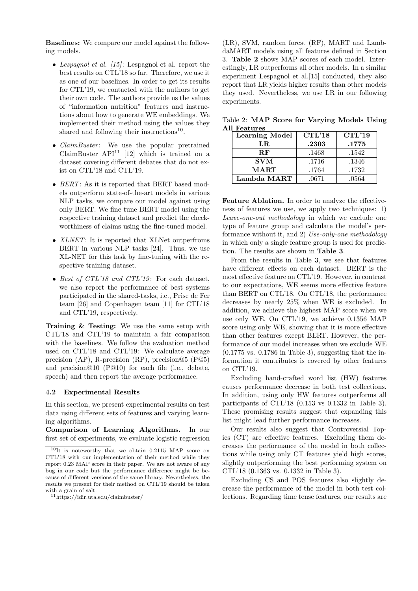Baselines: We compare our model against the following models.

- Lespagnol et al.  $(15)$ : Lespagnol et al. report the best results on CTL'18 so far. Therefore, we use it as one of our baselines. In order to get its results for CTL'19, we contacted with the authors to get their own code. The authors provide us the values of "information nutrition" features and instructions about how to generate WE embeddings. We implemented their method using the values they shared and following their instructions<sup>10</sup>.
- $ClaimBuster:$  We use the popular pretrained ClaimBuster  $API<sup>11</sup>$  [12] which is trained on a dataset covering different debates that do not exist on CTL'18 and CTL'19.
- BERT: As it is reported that BERT based models outperform state-of-the-art models in various NLP tasks, we compare our model against using only BERT. We fine tune BERT model using the respective training dataset and predict the checkworthiness of claims using the fine-tuned model.
- *XLNET*: It is reported that XLNet outperfroms BERT in various NLP tasks [24]. Thus, we use XL-NET for this task by fine-tuning with the respective training dataset.
- Best of CTL'18 and CTL'19: For each dataset, we also report the performance of best systems participated in the shared-tasks, i.e., Prise de Fer team [26] and Copenhagen team [11] for CTL'18 and CTL'19, respectively.

Training & Testing: We use the same setup with CTL'18 and CTL'19 to maintain a fair comparison with the baselines. We follow the evaluation method used on CTL'18 and CTL'19: We calculate average precision (AP), R-precision (RP), precision@5 (P@5) and precision@10 (P@10) for each file (i.e., debate, speech) and then report the average performance.

#### 4.2 Experimental Results

In this section, we present experimental results on test data using different sets of features and varying learning algorithms.

Comparison of Learning Algorithms. In our first set of experiments, we evaluate logistic regression

(LR), SVM, random forest (RF), MART and LambdaMART models using all features defined in Section 3. Table 2 shows MAP scores of each model. Interestingly, LR outperforms all other models. In a similar experiment Lespagnol et al.[15] conducted, they also report that LR yields higher results than other models they used. Nevertheless, we use LR in our following experiments.

Table 2: MAP Score for Varying Models Using All Features

| <b>Learning Model</b> | CTL'18 | CTL'19 |  |
|-----------------------|--------|--------|--|
| LR.                   | .2303  | .1775  |  |
| $R$ F                 | .1468  | .1542  |  |
| <b>SVM</b>            | .1716  | .1346  |  |
| <b>MART</b>           | .1764  | .1732  |  |
| Lambda MART           | .0671  | .0564  |  |

Feature Ablation. In order to analyze the effectiveness of features we use, we apply two techniques: 1) Leave-one-out methodology in which we exclude one type of feature group and calculate the model's performance without it, and 2) Use-only-one methodology in which only a single feature group is used for prediction. The results are shown in Table 3.

From the results in Table 3, we see that features have different effects on each dataset. BERT is the most effective feature on CTL'19. However, in contrast to our expectations, WE seems more effective feature than BERT on CTL'18. On CTL'18, the performance decreases by nearly 25% when WE is excluded. In addition, we achieve the highest MAP score when we use only WE. On CTL'19, we achieve 0.1356 MAP score using only WE, showing that it is more effective than other features except BERT. However, the performance of our model increases when we exclude WE  $(0.1775 \text{ vs. } 0.1786 \text{ in Table 3}),$  suggesting that the information it contributes is covered by other features on CTL'19.

Excluding hand-crafted word list (HW) features causes performance decrease in both test collections. In addition, using only HW features outperforms all participants of CTL'18 (0.153 vs 0.1332 in Table 3). These promising results suggest that expanding this list might lead further performance increases.

Our results also suggest that Controversial Topics (CT) are effective features. Excluding them decreases the performance of the model in both collections while using only CT features yield high scores, slightly outperforming the best performing system on CTL'18 (0.1363 vs. 0.1332 in Table 3).

Excluding CS and POS features also slightly decrease the performance of the model in both test collections. Regarding time tense features, our results are

<sup>10</sup>It is noteworthy that we obtain 0.2115 MAP score on CTL'18 with our implementation of their method while they report 0.23 MAP score in their paper. We are not aware of any bug in our code but the performance difference might be because of different versions of the same library. Nevertheless, the results we present for their method on CTL'19 should be taken with a grain of salt.

<sup>11</sup>https://idir.uta.edu/claimbuster/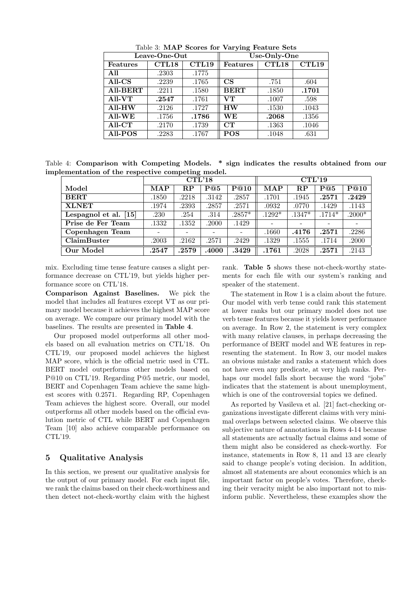|                 | Leave-One-Out |                   | Use-Only-One           |       |       |  |
|-----------------|---------------|-------------------|------------------------|-------|-------|--|
| <b>Features</b> | CTL18         | CTL <sub>19</sub> | Features               | CTL18 | CTL19 |  |
| All             | .2303         | .1775             |                        |       |       |  |
| $All-CS$        | .2239         | .1765             | $\overline{\text{CS}}$ | .751  | .604  |  |
| <b>All-BERT</b> | .2211         | .1580             | <b>BERT</b>            | .1850 | .1701 |  |
| $All-VT$        | .2547         | .1761             | VТ                     | .1007 | .598  |  |
| All-HW          | .2126         | .1727             | <b>HW</b>              | .1530 | .1043 |  |
| $All-WE$        | .1756         | .1786             | WЕ                     | .2068 | .1356 |  |
| All-CT          | .2170         | .1739             | CT                     | .1363 | .1046 |  |
| $All-POS$       | .2283         | .1767             | <b>POS</b>             | .1048 | .631  |  |

Table 3: MAP Scores for Varying Feature Sets

Table 4: Comparison with Competing Models. \* sign indicates the results obtained from our implementation of the respective competing model.

|                         | . .<br>CTL'18 |                         |       |          | CTL'19     |          |          |          |
|-------------------------|---------------|-------------------------|-------|----------|------------|----------|----------|----------|
| Model                   | MAP           | $\mathbf{R} \mathbf{P}$ | P@5   | P@10     | <b>MAP</b> | $\bf RP$ | P@5      | P@10     |
| <b>BERT</b>             | .1850         | .2218                   | .3142 | .2857    | .1701      | .1945    | .2571    | .2429    |
| <b>XLNET</b>            | .1974         | .2393                   | .2857 | .2571    | .0932      | .0770    | .1429    | .1143    |
| Lespagnol et al. $[15]$ | .230          | .254                    | .314  | $.2857*$ | $.1292*$   | $.1347*$ | $.1714*$ | $.2000*$ |
| Prise de Fer Team       | .1332         | .1352                   | .2000 | .1429    |            |          |          |          |
| Copenhagen Team         |               |                         |       |          | .1660      | .4176    | .2571    | .2286    |
| ClaimBuster             | .2003         | .2162                   | .2571 | .2429    | .1329      | .1555    | .1714    | .2000    |
| Our Model               | .2547         | .2579                   | .4000 | .3429    | .1761      | .2028    | .2571    | .2143    |

mix. Excluding time tense feature causes a slight performance decrease on CTL'19, but yields higher performance score on CTL'18.

Comparison Against Baselines. We pick the model that includes all features except VT as our primary model because it achieves the highest MAP score on average. We compare our primary model with the baselines. The results are presented in Table 4.

Our proposed model outperforms all other models based on all evaluation metrics on CTL'18. On CTL'19, our proposed model achieves the highest MAP score, which is the official metric used in CTL. BERT model outperforms other models based on P@10 on CTL'19. Regarding P@5 metric, our model, BERT and Copenhagen Team achieve the same highest scores with 0.2571. Regarding RP, Copenhagen Team achieves the highest score. Overall, our model outperforms all other models based on the official evalution metric of CTL while BERT and Copenhagen Team [10] also achieve comparable performance on CTL'19.

# 5 Qualitative Analysis

In this section, we present our qualitative analysis for the output of our primary model. For each input file, we rank the claims based on their check-worthiness and then detect not-check-worthy claim with the highest rank. Table 5 shows these not-check-worthy statements for each file with our system's ranking and speaker of the statement.

The statement in Row 1 is a claim about the future. Our model with verb tense could rank this statement at lower ranks but our primary model does not use verb tense features because it yields lower performance on average. In Row 2, the statement is very complex with many relative clauses, in perhaps decreasing the performance of BERT model and WE features in representing the statement. In Row 3, our model makes an obvious mistake and ranks a statement which does not have even any predicate, at very high ranks. Perhaps our model falls short because the word "jobs" indicates that the statement is about unemployment, which is one of the controversial topics we defined.

As reported by Vasileva et al. [21] fact-checking organizations investigate different claims with very minimal overlaps between selected claims. We observe this subjective nature of annotations in Rows 4-14 because all statements are actually factual claims and some of them might also be considered as check-worthy. For instance, statements in Row 8, 11 and 13 are clearly said to change people's voting decision. In addition, almost all statements are about economics which is an important factor on people's votes. Therefore, checking their veracity might be also important not to misinform public. Nevertheless, these examples show the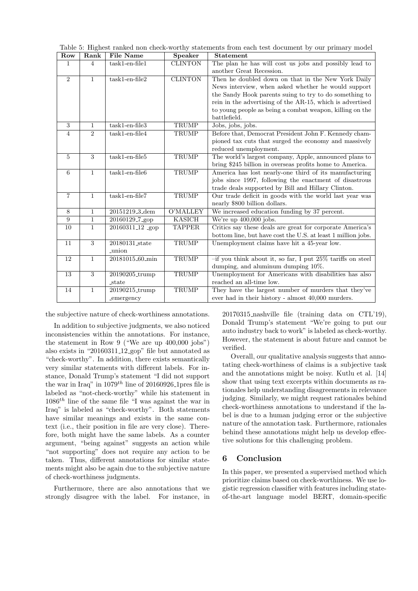| Row            | Rank           | <b>File Name</b>            | Speaker         | <b>Statement</b>                                             |
|----------------|----------------|-----------------------------|-----------------|--------------------------------------------------------------|
| 1              | 4              | $task1-en-file1$            | <b>CLINTON</b>  | The plan he has will cost us jobs and possibly lead to       |
|                |                |                             |                 | another Great Recession.                                     |
| 2              | $\mathbf{1}$   | $task1-en-file2$            | <b>CLINTON</b>  | Then he doubled down on that in the New York Daily           |
|                |                |                             |                 | News interview, when asked whether he would support          |
|                |                |                             |                 | the Sandy Hook parents suing to try to do something to       |
|                |                |                             |                 | rein in the advertising of the AR-15, which is advertised    |
|                |                |                             |                 | to young people as being a combat weapon, killing on the     |
|                |                |                             |                 | battlefield.                                                 |
| 3              | $\mathbf{1}$   | $task1-en-file3$            | <b>TRUMP</b>    | Jobs, jobs, jobs.                                            |
| $\overline{4}$ | $\overline{2}$ | $task1-en-file4$            | <b>TRUMP</b>    | Before that, Democrat President John F. Kennedy cham-        |
|                |                |                             |                 | pioned tax cuts that surged the economy and massively        |
|                |                |                             |                 | reduced unemployment.                                        |
| 5              | 3              | $task1-en-file5$            | TRUMP           | The world's largest company, Apple, announced plans to       |
|                |                |                             |                 | bring \$245 billion in overseas profits home to America.     |
| 6              | $\mathbf{1}$   | $task1-en-file6$            | TRUMP           | America has lost nearly-one third of its manufacturing       |
|                |                |                             |                 | jobs since 1997, following the enactment of disastrous       |
|                |                |                             |                 | trade deals supported by Bill and Hillary Clinton.           |
| $\overline{7}$ | $\mathbf{1}$   | $task1-en-file7$            | <b>TRUMP</b>    | Our trade deficit in goods with the world last year was      |
|                |                |                             |                 | nearly \$800 billion dollars.                                |
| 8              | $\mathbf{1}$   | 20151219 <sub>-3-dem</sub>  | <b>O'MALLEY</b> | We increased education funding by 37 percent.                |
| 9              | $\mathbf{1}$   | 20160129 <sub>-7-gop</sub>  | <b>KASICH</b>   | We're up $400,000$ jobs.                                     |
| 10             | 1              | 20160311 <sub>-12</sub> gop | <b>TAPPER</b>   | Critics say these deals are great for corporate America's    |
|                |                |                             |                 | bottom line, but have cost the U.S. at least 1 million jobs. |
| 11             | 3              | 20180131_state              | TRUMP           | Unemployment claims have hit a 45-year low.                  |
|                |                | _union                      |                 |                                                              |
| 12             | $\mathbf{1}$   | 20181015 <sub>-60-min</sub> | TRUMP           | -if you think about it, so far, I put 25% tariffs on steel   |
|                |                |                             |                 | dumping, and aluminum dumping 10%.                           |
| 13             | 3              | 20190205_trump              | <b>TRUMP</b>    | Unemployment for Americans with disabilities has also        |
|                |                | state                       |                 | reached an all-time low.                                     |
| 14             | $\mathbf{1}$   | 20190215_trump              | TRUMP           | They have the largest number of murders that they've         |
|                |                | _emergency                  |                 | ever had in their history - almost 40,000 murders.           |

the subjective nature of check-worthiness annotations.

In addition to subjective judgments, we also noticed inconsistencies within the annotations. For instance, the statement in Row 9 ("We are up 400,000 jobs") also exists in "20160311 12 gop" file but annotated as "check-worthy". In addition, there exists semantically very similar statements with different labels. For instance, Donald Trump's statement "I did not support the war in Iraq" in  $1079^{th}$  line of 20160926 1pres file is labeled as "not-check-worthy" while his statement in  $1086<sup>th</sup>$  line of the same file "I was against the war in Iraq" is labeled as "check-worthy". Both statements have similar meanings and exists in the same context (i.e., their position in file are very close). Therefore, both might have the same labels. As a counter argument, "being against" suggests an action while "not supporting" does not require any action to be taken. Thus, different annotations for similar statements might also be again due to the subjective nature of check-worthiness judgments.

Furthermore, there are also annotations that we strongly disagree with the label. For instance, in 20170315 nashville file (training data on CTL'19), Donald Trump's statement "We're going to put our auto industry back to work" is labeled as check-worthy. However, the statement is about future and cannot be verified.

Overall, our qualitative analysis suggests that annotating check-worthiness of claims is a subjective task and the annotations might be noisy. Kutlu et al. [14] show that using text excerpts within documents as rationales help understanding disagreements in relevance judging. Similarly, we might request rationales behind check-worthiness annotations to understand if the label is due to a human judging error or the subjective nature of the annotation task. Furthermore, rationales behind these annotations might help us develop effective solutions for this challenging problem.

# 6 Conclusion

In this paper, we presented a supervised method which prioritize claims based on check-worthiness. We use logistic regression classifier with features including stateof-the-art language model BERT, domain-specific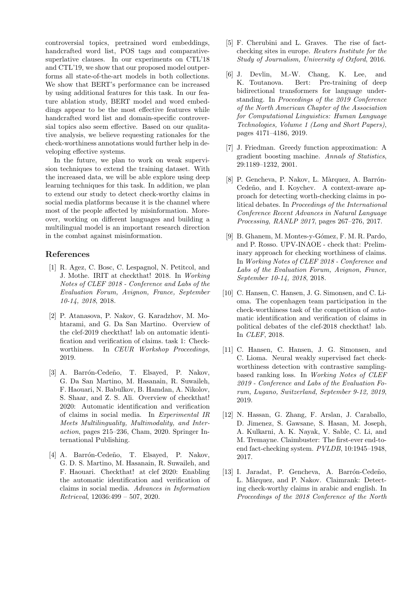controversial topics, pretrained word embeddings, handcrafted word list, POS tags and comparativesuperlative clauses. In our experiments on CTL'18 and CTL'19, we show that our proposed model outperforms all state-of-the-art models in both collections. We show that BERT's performance can be increased by using additional features for this task. In our feature ablation study, BERT model and word embeddings appear to be the most effective features while handcrafted word list and domain-specific controversial topics also seem effective. Based on our qualitative analysis, we believe requesting rationales for the check-worthiness annotations would further help in developing effective systems.

In the future, we plan to work on weak supervision techniques to extend the training dataset. With the increased data, we will be able explore using deep learning techniques for this task. In addition, we plan to extend our study to detect check-worthy claims in social media platforms because it is the channel where most of the people affected by misinformation. Moreover, working on different languages and building a multilingual model is an important research direction in the combat against misinformation.

## References

- [1] R. Agez, C. Bosc, C. Lespagnol, N. Petitcol, and J. Mothe. IRIT at checkthat! 2018. In Working Notes of CLEF 2018 - Conference and Labs of the Evaluation Forum, Avignon, France, September 10-14, 2018, 2018.
- [2] P. Atanasova, P. Nakov, G. Karadzhov, M. Mohtarami, and G. Da San Martino. Overview of the clef-2019 checkthat! lab on automatic identification and verification of claims. task 1: Checkworthiness. In CEUR Workshop Proceedings, 2019.
- [3] A. Barrón-Cedeño, T. Elsayed, P. Nakov, G. Da San Martino, M. Hasanain, R. Suwaileh, F. Haouari, N. Babulkov, B. Hamdan, A. Nikolov, S. Shaar, and Z. S. Ali. Overview of checkthat! 2020: Automatic identification and verification of claims in social media. In Experimental IR Meets Multilinguality, Multimodality, and Interaction, pages 215–236, Cham, 2020. Springer International Publishing.
- [4] A. Barrón-Cedeño, T. Elsayed, P. Nakov, G. D. S. Martino, M. Hasanain, R. Suwaileh, and F. Haouari. Checkthat! at clef 2020: Enabling the automatic identification and verification of claims in social media. Advances in Information Retrieval, 12036:499 – 507, 2020.
- [5] F. Cherubini and L. Graves. The rise of factchecking sites in europe. Reuters Institute for the Study of Journalism, University of Oxford, 2016.
- [6] J. Devlin, M.-W. Chang, K. Lee, and K. Toutanova. Bert: Pre-training of deep bidirectional transformers for language understanding. In Proceedings of the 2019 Conference of the North American Chapter of the Association for Computational Linguistics: Human Language Technologies, Volume 1 (Long and Short Papers), pages 4171–4186, 2019.
- [7] J. Friedman. Greedy function approximation: A gradient boosting machine. Annals of Statistics, 29:1189–1232, 2001.
- [8] P. Gencheva, P. Nakov, L. Màrquez, A. Barrón-Cedeño, and I. Koychev. A context-aware approach for detecting worth-checking claims in political debates. In Proceedings of the International Conference Recent Advances in Natural Language Processing, RANLP 2017, pages 267–276, 2017.
- [9] B. Ghanem, M. Montes-y-Gómez, F. M. R. Pardo, and P. Rosso. UPV-INAOE - check that: Preliminary approach for checking worthiness of claims. In Working Notes of CLEF 2018 - Conference and Labs of the Evaluation Forum, Avignon, France, September 10-14, 2018, 2018.
- [10] C. Hansen, C. Hansen, J. G. Simonsen, and C. Lioma. The copenhagen team participation in the check-worthiness task of the competition of automatic identification and verification of claims in political debates of the clef-2018 checkthat! lab. In CLEF, 2018.
- [11] C. Hansen, C. Hansen, J. G. Simonsen, and C. Lioma. Neural weakly supervised fact checkworthiness detection with contrastive samplingbased ranking loss. In Working Notes of CLEF 2019 - Conference and Labs of the Evaluation Forum, Lugano, Switzerland, September 9-12, 2019, 2019.
- [12] N. Hassan, G. Zhang, F. Arslan, J. Caraballo, D. Jimenez, S. Gawsane, S. Hasan, M. Joseph, A. Kulkarni, A. K. Nayak, V. Sable, C. Li, and M. Tremayne. Claimbuster: The first-ever end-toend fact-checking system. PVLDB, 10:1945–1948, 2017.
- [13] I. Jaradat, P. Gencheva, A. Barrón-Cedeño, L. Màrquez, and P. Nakov. Claimrank: Detecting check-worthy claims in arabic and english. In Proceedings of the 2018 Conference of the North